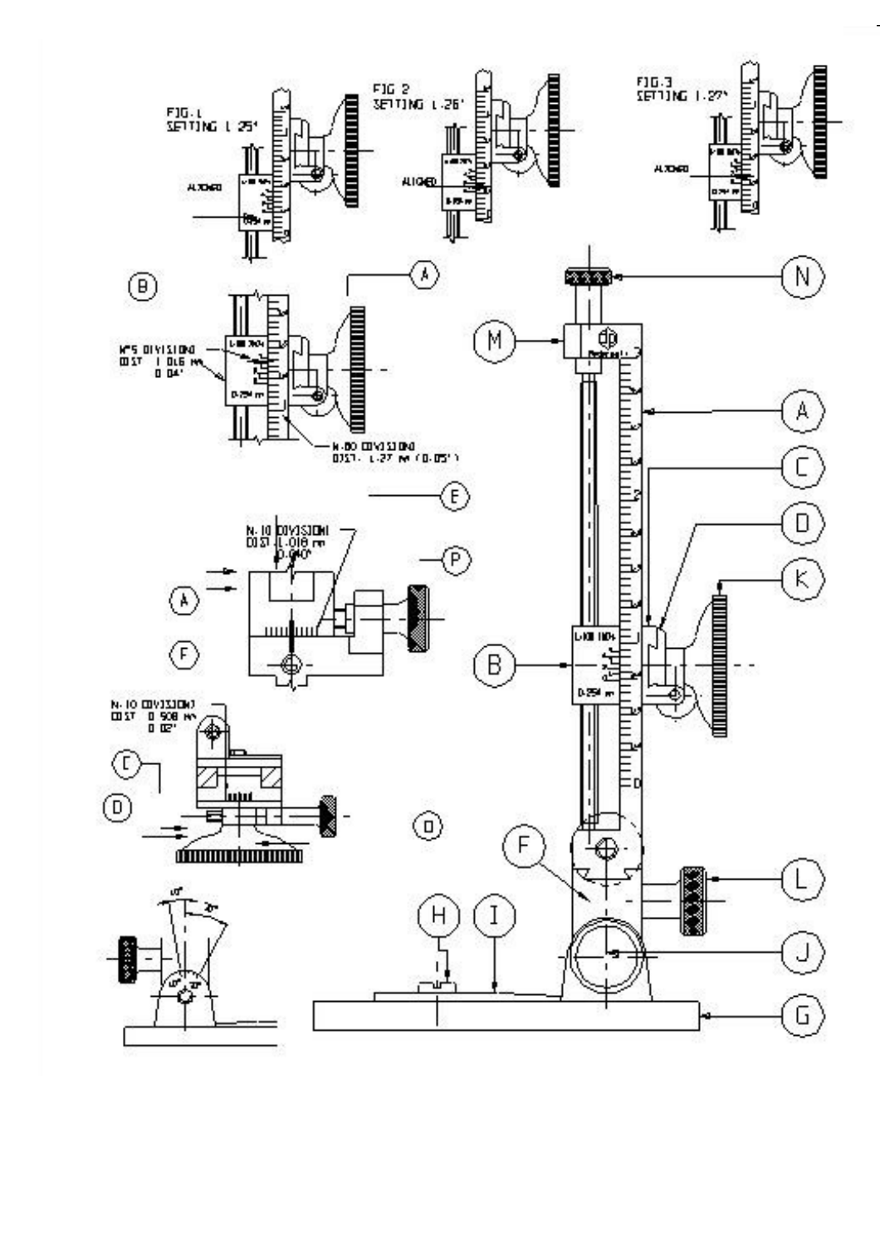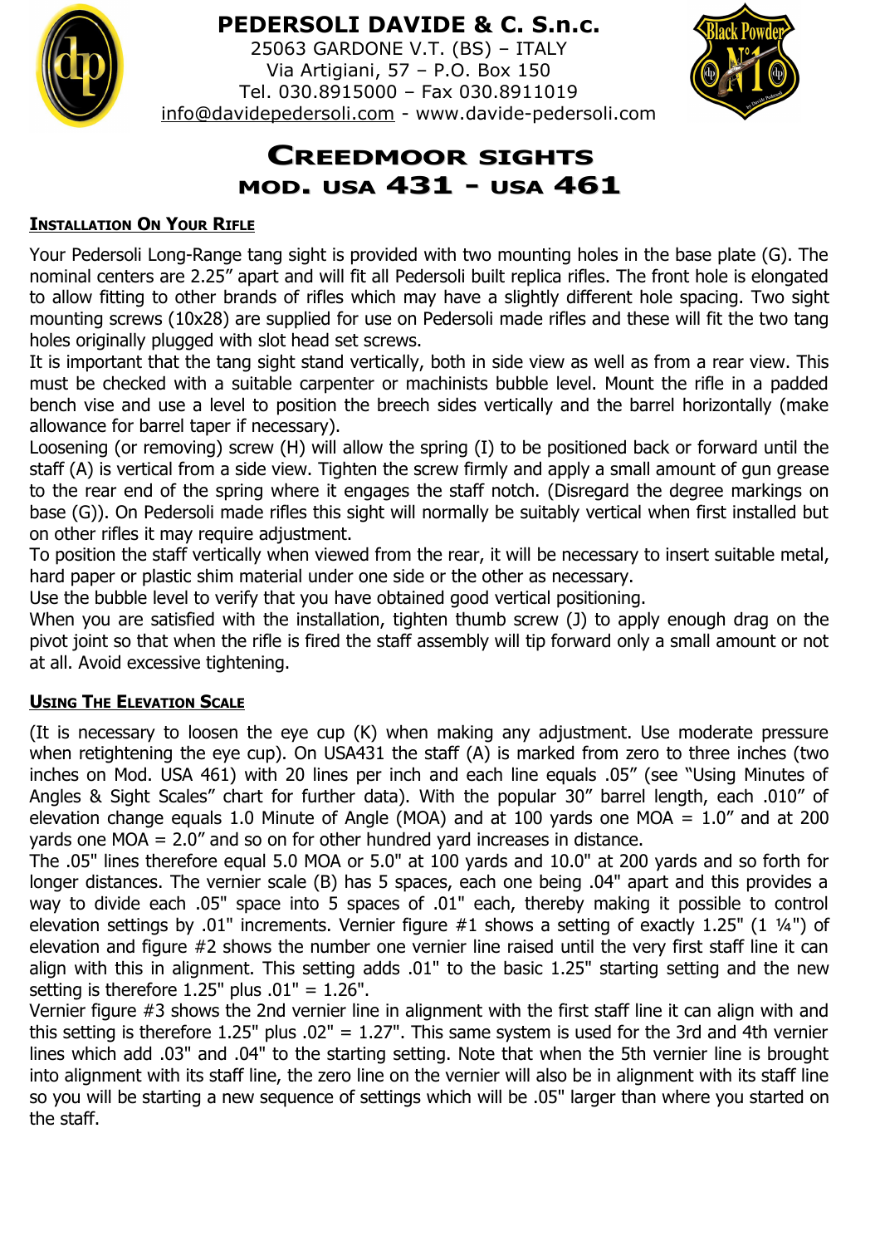

# **PEDERSOLI DAVIDE & C. S.n.c.**

25063 GARDONE V.T. (BS) – ITALY Via Artigiani, 57 – P.O. Box 150 Tel. 030.8915000 – Fax 030.8911019 [info@davidepedersoli.com](mailto:info@davidepedersoli.com) - www.davide-pedersoli.com



# **CREEDMOOR SIGHTS MOD. USA 431 - USA 461**

### **INSTALLATION ON YOUR RIFLE**

Your Pedersoli Long-Range tang sight is provided with two mounting holes in the base plate (G). The nominal centers are 2.25" apart and will fit all Pedersoli built replica rifles. The front hole is elongated to allow fitting to other brands of rifles which may have a slightly different hole spacing. Two sight mounting screws (10x28) are supplied for use on Pedersoli made rifles and these will fit the two tang holes originally plugged with slot head set screws.

It is important that the tang sight stand vertically, both in side view as well as from a rear view. This must be checked with a suitable carpenter or machinists bubble level. Mount the rifle in a padded bench vise and use a level to position the breech sides vertically and the barrel horizontally (make allowance for barrel taper if necessary).

Loosening (or removing) screw (H) will allow the spring (I) to be positioned back or forward until the staff (A) is vertical from a side view. Tighten the screw firmly and apply a small amount of gun grease to the rear end of the spring where it engages the staff notch. (Disregard the degree markings on base (G)). On Pedersoli made rifles this sight will normally be suitably vertical when first installed but on other rifles it may require adjustment.

To position the staff vertically when viewed from the rear, it will be necessary to insert suitable metal, hard paper or plastic shim material under one side or the other as necessary.

Use the bubble level to verify that you have obtained good vertical positioning.

When you are satisfied with the installation, tighten thumb screw (J) to apply enough drag on the pivot joint so that when the rifle is fired the staff assembly will tip forward only a small amount or not at all. Avoid excessive tightening.

#### **USING THE ELEVATION SCALE**

(It is necessary to loosen the eye cup (K) when making any adjustment. Use moderate pressure when retightening the eye cup). On USA431 the staff (A) is marked from zero to three inches (two inches on Mod. USA 461) with 20 lines per inch and each line equals .05" (see "Using Minutes of Angles & Sight Scales" chart for further data). With the popular 30" barrel length, each .010" of elevation change equals 1.0 Minute of Angle (MOA) and at 100 yards one MOA =  $1.0''$  and at 200 yards one MOA = 2.0" and so on for other hundred yard increases in distance.

The .05" lines therefore equal 5.0 MOA or 5.0" at 100 yards and 10.0" at 200 yards and so forth for longer distances. The vernier scale (B) has 5 spaces, each one being .04" apart and this provides a way to divide each .05" space into 5 spaces of .01" each, thereby making it possible to control elevation settings by .01" increments. Vernier figure #1 shows a setting of exactly 1.25" (1 ¼") of elevation and figure #2 shows the number one vernier line raised until the very first staff line it can align with this in alignment. This setting adds .01" to the basic 1.25" starting setting and the new setting is therefore 1.25" plus .01" = 1.26".

Vernier figure #3 shows the 2nd vernier line in alignment with the first staff line it can align with and this setting is therefore 1.25" plus  $.02" = 1.27"$ . This same system is used for the 3rd and 4th vernier lines which add .03" and .04" to the starting setting. Note that when the 5th vernier line is brought into alignment with its staff line, the zero line on the vernier will also be in alignment with its staff line so you will be starting a new sequence of settings which will be .05" larger than where you started on the staff.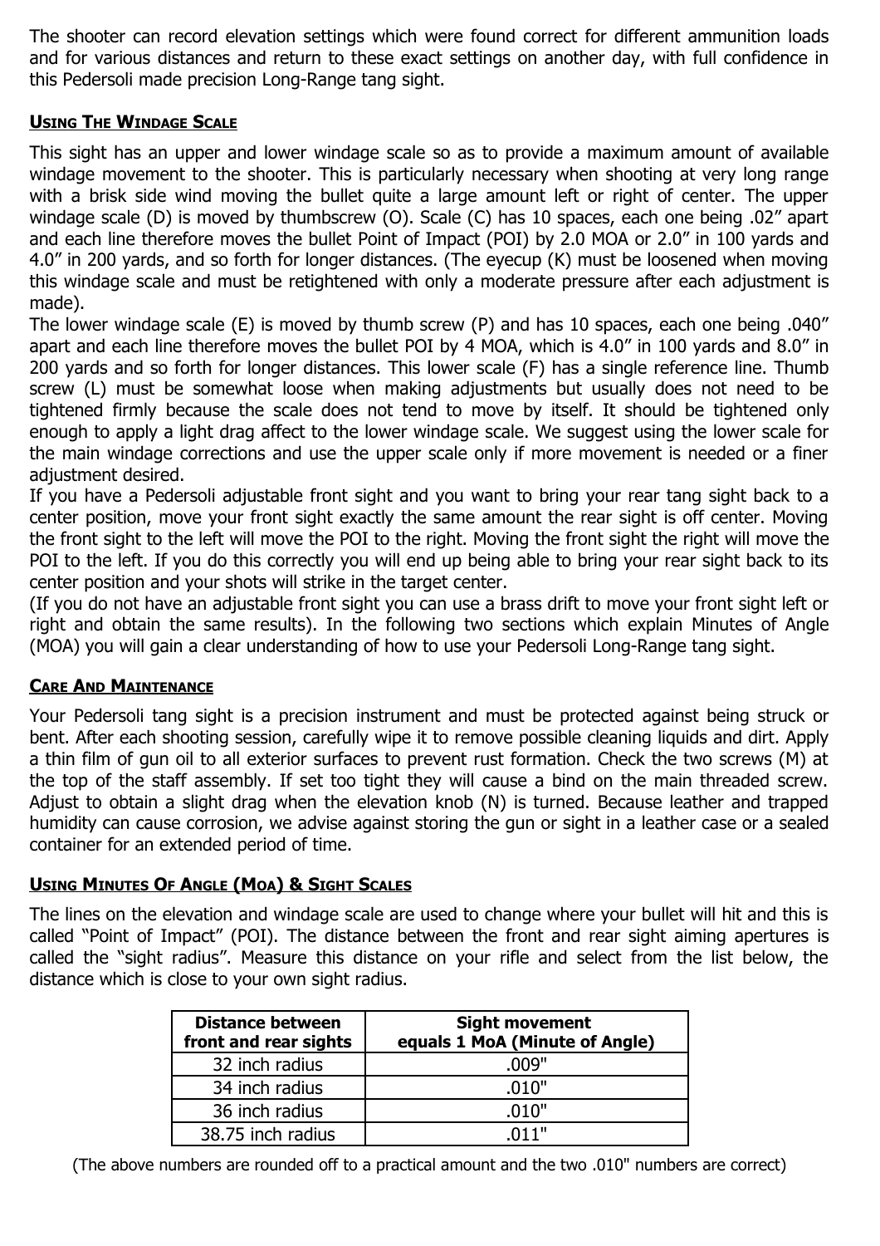The shooter can record elevation settings which were found correct for different ammunition loads and for various distances and return to these exact settings on another day, with full confidence in this Pedersoli made precision Long-Range tang sight.

#### **USING THE WINDAGE SCALE**

This sight has an upper and lower windage scale so as to provide a maximum amount of available windage movement to the shooter. This is particularly necessary when shooting at very long range with a brisk side wind moving the bullet quite a large amount left or right of center. The upper windage scale (D) is moved by thumbscrew (O). Scale (C) has 10 spaces, each one being .02" apart and each line therefore moves the bullet Point of Impact (POI) by 2.0 MOA or 2.0" in 100 yards and 4.0" in 200 yards, and so forth for longer distances. (The eyecup (K) must be loosened when moving this windage scale and must be retightened with only a moderate pressure after each adjustment is made).

The lower windage scale (E) is moved by thumb screw (P) and has 10 spaces, each one being .040" apart and each line therefore moves the bullet POI by 4 MOA, which is 4.0" in 100 yards and 8.0" in 200 yards and so forth for longer distances. This lower scale (F) has a single reference line. Thumb screw (L) must be somewhat loose when making adjustments but usually does not need to be tightened firmly because the scale does not tend to move by itself. It should be tightened only enough to apply a light drag affect to the lower windage scale. We suggest using the lower scale for the main windage corrections and use the upper scale only if more movement is needed or a finer adjustment desired.

If you have a Pedersoli adjustable front sight and you want to bring your rear tang sight back to a center position, move your front sight exactly the same amount the rear sight is off center. Moving the front sight to the left will move the POI to the right. Moving the front sight the right will move the POI to the left. If you do this correctly you will end up being able to bring your rear sight back to its center position and your shots will strike in the target center.

(If you do not have an adjustable front sight you can use a brass drift to move your front sight left or right and obtain the same results). In the following two sections which explain Minutes of Angle (MOA) you will gain a clear understanding of how to use your Pedersoli Long-Range tang sight.

## **CARE AND MAINTENANCE**

Your Pedersoli tang sight is a precision instrument and must be protected against being struck or bent. After each shooting session, carefully wipe it to remove possible cleaning liquids and dirt. Apply a thin film of gun oil to all exterior surfaces to prevent rust formation. Check the two screws (M) at the top of the staff assembly. If set too tight they will cause a bind on the main threaded screw. Adjust to obtain a slight drag when the elevation knob (N) is turned. Because leather and trapped humidity can cause corrosion, we advise against storing the gun or sight in a leather case or a sealed container for an extended period of time.

#### **USING MINUTES OF ANGLE (MOA) & SIGHT SCALES**

The lines on the elevation and windage scale are used to change where your bullet will hit and this is called "Point of Impact" (POI). The distance between the front and rear sight aiming apertures is called the "sight radius". Measure this distance on your rifle and select from the list below, the distance which is close to your own sight radius.

| <b>Distance between</b><br>front and rear sights | <b>Sight movement</b><br>equals 1 MoA (Minute of Angle) |  |  |
|--------------------------------------------------|---------------------------------------------------------|--|--|
| 32 inch radius                                   | .009"                                                   |  |  |
| 34 inch radius                                   | .010"                                                   |  |  |
| 36 inch radius                                   | .010"                                                   |  |  |
| 38.75 inch radius                                | .011"                                                   |  |  |

(The above numbers are rounded off to a practical amount and the two .010" numbers are correct)